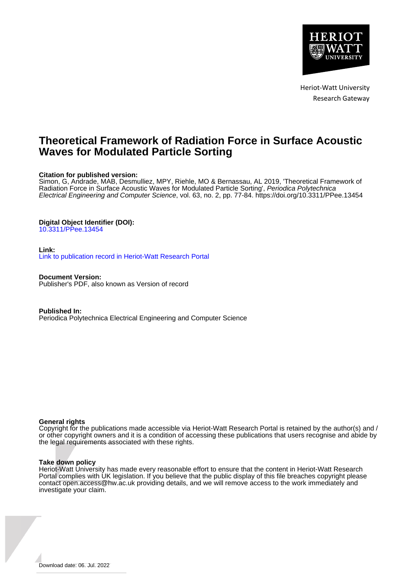

Heriot-Watt University Research Gateway

## **Theoretical Framework of Radiation Force in Surface Acoustic Waves for Modulated Particle Sorting**

## **Citation for published version:**

Simon, G, Andrade, MAB, Desmulliez, MPY, Riehle, MO & Bernassau, AL 2019, 'Theoretical Framework of Radiation Force in Surface Acoustic Waves for Modulated Particle Sorting', Periodica Polytechnica Electrical Engineering and Computer Science, vol. 63, no. 2, pp. 77-84.<https://doi.org/10.3311/PPee.13454>

## **Digital Object Identifier (DOI):**

[10.3311/PPee.13454](https://doi.org/10.3311/PPee.13454)

## **Link:**

[Link to publication record in Heriot-Watt Research Portal](https://researchportal.hw.ac.uk/en/publications/00e3981d-cc5b-4b80-83b3-49edb5f6cf62)

**Document Version:** Publisher's PDF, also known as Version of record

**Published In:** Periodica Polytechnica Electrical Engineering and Computer Science

## **General rights**

Copyright for the publications made accessible via Heriot-Watt Research Portal is retained by the author(s) and / or other copyright owners and it is a condition of accessing these publications that users recognise and abide by the legal requirements associated with these rights.

## **Take down policy**

Heriot-Watt University has made every reasonable effort to ensure that the content in Heriot-Watt Research Portal complies with UK legislation. If you believe that the public display of this file breaches copyright please contact open.access@hw.ac.uk providing details, and we will remove access to the work immediately and investigate your claim.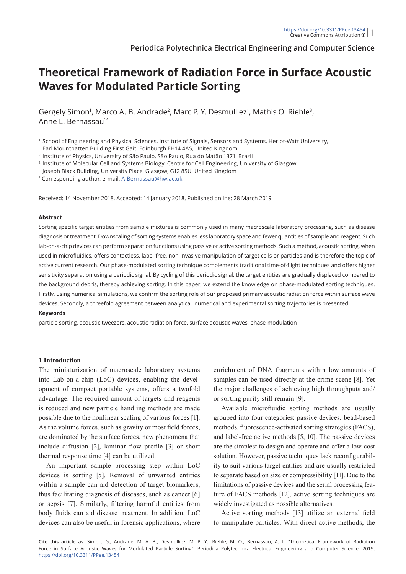**Periodica Polytechnica Electrical Engineering and Computer Science**

# **Theoretical Framework of Radiation Force in Surface Acoustic Waves for Modulated Particle Sorting**

Gergely Simon<sup>1</sup>, Marco A. B. Andrade<sup>2</sup>, Marc P. Y. Desmulliez<sup>1</sup>, Mathis O. Riehle<sup>3</sup>, Anne L. Bernassau<sup>1\*</sup>

<sup>1</sup> School of Engineering and Physical Sciences, Institute of Signals, Sensors and Systems, Heriot-Watt University, Earl Mountbatten Building First Gait, Edinburgh EH14 4AS, United Kingdom

<sup>2</sup> Institute of Physics, University of São Paulo, São Paulo, Rua do Matão 1371, Brazil

<sup>3</sup> Institute of Molecular Cell and Systems Biology, Centre for Cell Engineering, University of Glasgow,

Joseph Black Building, University Place, Glasgow, G12 8SU, United Kingdom

\* Corresponding author, e-mail: [A.Bernassau@hw.ac.uk](mailto:A.Bernassau@hw.ac.uk)

Received: 14 November 2018, Accepted: 14 January 2018, Published online: 28 March 2019

#### **Abstract**

Sorting specific target entities from sample mixtures is commonly used in many macroscale laboratory processing, such as disease diagnosis or treatment. Downscaling of sorting systems enables less laboratory space and fewer quantities of sample and reagent. Such lab-on-a-chip devices can perform separation functions using passive or active sorting methods. Such a method, acoustic sorting, when used in microfluidics, offers contactless, label-free, non-invasive manipulation of target cells or particles and is therefore the topic of active current research. Our phase-modulated sorting technique complements traditional time-of-flight techniques and offers higher sensitivity separation using a periodic signal. By cycling of this periodic signal, the target entities are gradually displaced compared to the background debris, thereby achieving sorting. In this paper, we extend the knowledge on phase-modulated sorting techniques. Firstly, using numerical simulations, we confirm the sorting role of our proposed primary acoustic radiation force within surface wave devices. Secondly, a threefold agreement between analytical, numerical and experimental sorting trajectories is presented.

## **Keywords**

particle sorting, acoustic tweezers, acoustic radiation force, surface acoustic waves, phase-modulation

#### **1 Introduction**

The miniaturization of macroscale laboratory systems into Lab-on-a-chip (LoC) devices, enabling the development of compact portable systems, offers a twofold advantage. The required amount of targets and reagents is reduced and new particle handling methods are made possible due to the nonlinear scaling of various forces [1]. As the volume forces, such as gravity or most field forces, are dominated by the surface forces, new phenomena that include diffusion [2], laminar flow profile [3] or short thermal response time [4] can be utilized.

An important sample processing step within LoC devices is sorting [5]. Removal of unwanted entities within a sample can aid detection of target biomarkers, thus facilitating diagnosis of diseases, such as cancer [6] or sepsis [7]. Similarly, filtering harmful entities from body fluids can aid disease treatment. In addition, LoC devices can also be useful in forensic applications, where enrichment of DNA fragments within low amounts of samples can be used directly at the crime scene [8]. Yet the major challenges of achieving high throughputs and/ or sorting purity still remain [9].

Available microfluidic sorting methods are usually grouped into four categories: passive devices, bead-based methods, fluorescence-activated sorting strategies (FACS), and label-free active methods [5, 10]. The passive devices are the simplest to design and operate and offer a low-cost solution. However, passive techniques lack reconfigurability to suit various target entities and are usually restricted to separate based on size or compressibility [11]. Due to the limitations of passive devices and the serial processing feature of FACS methods [12], active sorting techniques are widely investigated as possible alternatives.

Active sorting methods [13] utilize an external field to manipulate particles. With direct active methods, the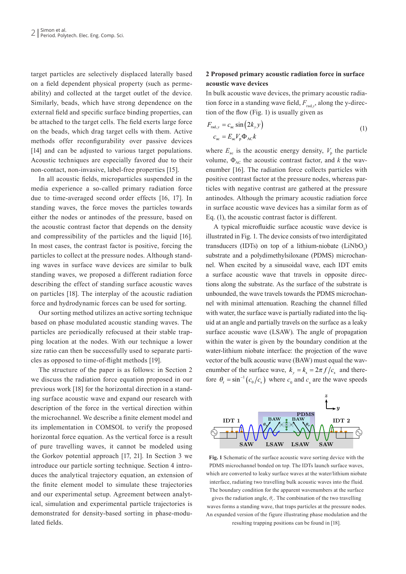target particles are selectively displaced laterally based on a field dependent physical property (such as permeability) and collected at the target outlet of the device. Similarly, beads, which have strong dependence on the external field and specific surface binding properties, can be attached to the target cells. The field exerts large force on the beads, which drag target cells with them. Active methods offer reconfigurability over passive devices [14] and can be adjusted to various target populations. Acoustic techniques are especially favored due to their non-contact, non-invasive, label-free properties [15].

In all acoustic fields, microparticles suspended in the media experience a so-called primary radiation force due to time-averaged second order effects [16, 17]. In standing waves, the force moves the particles towards either the nodes or antinodes of the pressure, based on the acoustic contrast factor that depends on the density and compressibility of the particles and the liquid [16]. In most cases, the contrast factor is positive, forcing the particles to collect at the pressure nodes. Although standing waves in surface wave devices are similar to bulk standing waves, we proposed a different radiation force describing the effect of standing surface acoustic waves on particles [18]. The interplay of the acoustic radiation force and hydrodynamic forces can be used for sorting.

Our sorting method utilizes an active sorting technique based on phase modulated acoustic standing waves. The particles are periodically refocused at their stable trapping location at the nodes. With our technique a lower size ratio can then be successfully used to separate particles as opposed to time-of-flight methods [19].

The structure of the paper is as follows: in Section 2 we discuss the radiation force equation proposed in our previous work [18] for the horizontal direction in a standing surface acoustic wave and expand our research with description of the force in the vertical direction within the microchannel. We describe a finite element model and its implementation in COMSOL to verify the proposed horizontal force equation. As the vertical force is a result of pure travelling waves, it cannot be modeled using the Gorkov potential approach [17, 21]. In Section 3 we introduce our particle sorting technique. Section 4 introduces the analytical trajectory equation, an extension of the finite element model to simulate these trajectories and our experimental setup. Agreement between analytical, simulation and experimental particle trajectories is demonstrated for density-based sorting in phase-modulated fields.

## **2 Proposed primary acoustic radiation force in surface acoustic wave devices**

In bulk acoustic wave devices, the primary acoustic radiation force in a standing wave field,  $F_{\text{rad},y}$ , along the y-direction of the flow (Fig. 1) is usually given as

$$
F_{\text{rad},y} = c_{\text{ac}} \sin(2k_y y)
$$
  
\n
$$
c_{\text{ac}} = E_{\text{ac}} V_p \Phi_{\text{AC}} k
$$
\n(1)

where  $E_{ac}$  is the acoustic energy density,  $V_p$  the particle volume,  $\Phi_{AC}$  the acoustic contrast factor, and *k* the wavenumber [16]. The radiation force collects particles with positive contrast factor at the pressure nodes, whereas particles with negative contrast are gathered at the pressure antinodes. Although the primary acoustic radiation force in surface acoustic wave devices has a similar form as of Eq. (1), the acoustic contrast factor is different.

A typical microfluidic surface acoustic wave device is illustrated in Fig. 1. The device consists of two interdigitated transducers (IDTs) on top of a lithium-niobate  $(LiNbO<sub>3</sub>)$ substrate and a polydimethylsiloxane (PDMS) microchannel. When excited by a sinusoidal wave, each IDT emits a surface acoustic wave that travels in opposite directions along the substrate. As the surface of the substrate is unbounded, the wave travels towards the PDMS microchannel with minimal attenuation. Reaching the channel filled with water, the surface wave is partially radiated into the liquid at an angle and partially travels on the surface as a leaky surface acoustic wave (LSAW). The angle of propagation within the water is given by the boundary condition at the water-lithium niobate interface: the projection of the wave vector of the bulk acoustic wave (BAW) must equal the wavenumber of the surface wave,  $k_v = k_s = 2\pi f/c_s$  and therefore  $\theta_r = \sin^{-1}(c_0/c_s)$  where  $c_0$  and  $c_s$  are the wave speeds



**Fig. 1** Schematic of the surface acoustic wave sorting device with the PDMS microchannel bonded on top. The IDTs launch surface waves, which are converted to leaky surface waves at the water/lithium niobate interface, radiating two travelling bulk acoustic waves into the fluid. The boundary condition for the apparent wavenumbers at the surface

gives the radiation angle,  $\theta_r$ . The combination of the two travelling waves forms a standing wave, that traps particles at the pressure nodes. An expanded version of the figure illustrating phase modulation and the resulting trapping positions can be found in [18].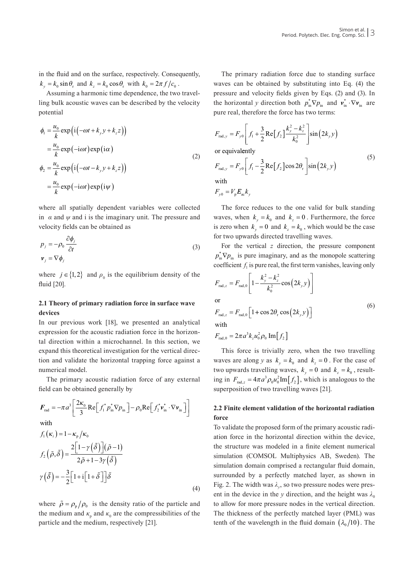in the fluid and on the surface, respectively. Consequently,  $k_y = k_0 \sin \theta_r$  and  $k_z = k_0 \cos \theta_r$  with  $k_0 = 2\pi f/c_0$ .

Assuming a harmonic time dependence, the two travelling bulk acoustic waves can be described by the velocity potential

$$
\phi_1 = \frac{u_0}{k} \exp\left(i\left(-\omega t + k_y y + k_z z\right)\right)
$$
  
\n
$$
= \frac{u_0}{k} \exp\left(-i\omega t\right) \exp\left(i\alpha\right)
$$
  
\n
$$
\phi_2 = \frac{u_0}{k} \exp\left(i\left(-\omega t - k_y y + k_z z\right)\right)
$$
  
\n
$$
= \frac{u_0}{k} \exp\left(-i\omega t\right) \exp(i\psi)
$$
\n(2)

where all spatially dependent variables were collected in  $\alpha$  and  $\psi$  and i is the imaginary unit. The pressure and velocity fields can be obtained as

$$
p_j = -\rho_0 \frac{\partial \phi_j}{\partial t}
$$
  

$$
\mathbf{v}_j = \nabla \phi_j
$$
 (3)

where  $j \in \{1, 2\}$  and  $\rho_0$  is the equilibrium density of the fluid [20].

## **2.1 Theory of primary radiation force in surface wave devices**

In our previous work [18], we presented an analytical expression for the acoustic radiation force in the horizontal direction within a microchannel. In this section, we expand this theoretical investigation for the vertical direction and validate the horizontal trapping force against a numerical model.

The primary acoustic radiation force of any external field can be obtained generally by

$$
F_{\text{rad}} = -\pi a^3 \left[ \frac{2\kappa_0}{3} \text{Re} \left[ f_1^* p_{\text{in}}^* \nabla p_{\text{in}} \right] - \rho_0 \text{Re} \left[ f_2^* \mathbf{v}_{\text{in}}^* \cdot \nabla \mathbf{v}_{\text{in}} \right] \right]
$$
  
with  

$$
f_1(\kappa_i) = 1 - \kappa_p / \kappa_0
$$
  

$$
f_2(\tilde{\rho}, \tilde{\delta}) = \frac{2 \left[ 1 - \gamma \left( \tilde{\delta} \right) \right] (\tilde{\rho} - 1)}{2\tilde{\rho} + 1 - 3\gamma (\tilde{\delta})}
$$
  

$$
\gamma(\tilde{\delta}) = -\frac{3}{2} \left[ 1 + i \left[ 1 + \tilde{\delta} \right] \right] \tilde{\delta}
$$

where  $\tilde{\rho} = \rho_{\rm n}/\rho_0$  is the density ratio of the particle and the medium and  $\kappa$ <sub>p</sub> and  $\kappa$ <sub>0</sub> are the compressibilities of the particle and the medium, respectively [21].

(4)

The primary radiation force due to standing surface waves can be obtained by substituting into Eq. (4) the pressure and velocity fields given by Eqs. (2) and (3). In the horizontal *y* direction both  $p_{in}^* \nabla p_{in}$  and  $v_{in}^* \cdot \nabla v_{in}$  are pure real, therefore the force has two terms:

$$
F_{\text{rad},y} = F_{y0} \left[ f_1 + \frac{3}{2} \text{Re}[f_2] \frac{k_y^2 - k_z^2}{k_0^2} \right] \sin(2k_y y)
$$
  
or equivalently  

$$
F_{\text{rad},y} = F_{y0} \left[ f_1 - \frac{3}{2} \text{Re}[f_2] \cos 2\theta_r \right] \sin(2k_y y)
$$
(5)  
with

 $F_{y0} = V_{p} E_{ac} k_{y}$ 

The force reduces to the one valid for bulk standing waves, when  $k_y = k_0$  and  $k_z = 0$ . Furthermore, the force is zero when  $k_y = 0$  and  $k_z = k_0$ , which would be the case for two upwards directed travelling waves.

For the vertical *z* direction, the pressure component  $p_{in}^* \nabla p_{in}$  is pure imaginary, and as the monopole scattering coefficient  $f_1$  is pure real, the first term vanishes, leaving only

$$
F_{\text{rad},z} = F_{\text{rad},0} \left[ 1 - \frac{k_y^2 - k_z^2}{k_0^2} \cos(2k_y y) \right]
$$
  
or  

$$
F_{\text{rad},z} = F_{\text{rad},0} \left[ 1 + \cos 2\theta_r \cos(2k_y y) \right]
$$
 (6)

with

$$
F_{\rm rad,0} = 2\pi a^3 k_z u_0^2 \rho_0 \, \text{Im}[f_2]
$$

This force is trivially zero, when the two travelling waves are along *y* as  $k_y = k_0$  and  $k_z = 0$ . For the case of two upwards travelling waves,  $k_y = 0$  and  $k_z = k_0$ , resulting in  $F_{\text{rad},z} = 4\pi a^3 \rho_0 u_0^2 \text{Im}[f_2]$ , which is analogous to the superposition of two travelling waves [21].

## **2.2 Finite element validation of the horizontal radiation force**

To validate the proposed form of the primary acoustic radiation force in the horizontal direction within the device, the structure was modeled in a finite element numerical simulation (COMSOL Multiphysics AB, Sweden). The simulation domain comprised a rectangular fluid domain, surrounded by a perfectly matched layer, as shown in Fig. 2. The width was  $\lambda_v$ , so two pressure nodes were present in the device in the *y* direction, and the height was  $\lambda_0$ to allow for more pressure nodes in the vertical direction. The thickness of the perfectly matched layer (PML) was tenth of the wavelength in the fluid domain  $(\lambda_0 / 10)$ . The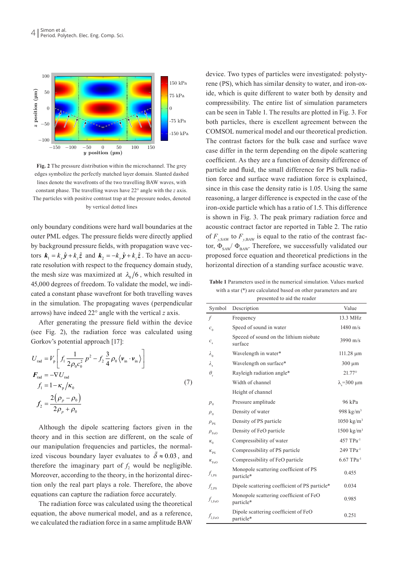

**Fig. 2** The pressure distribution within the microchannel. The grey edges symbolize the perfectly matched layer domain. Slanted dashed lines denote the wavefronts of the two travelling BAW waves, with constant phase. The travelling waves have 22° angle with the *z* axis. The particles with positive contrast trap at the pressure nodes, denoted by vertical dotted lines

only boundary conditions were hard wall boundaries at the outer PML edges. The pressure fields were directly applied by background pressure fields, with propagation wave vectors  $\mathbf{k}_1 = k_y \hat{\mathbf{y}} + k_z \hat{\mathbf{z}}$  and  $\mathbf{k}_2 = -k_y \hat{\mathbf{y}} + k_z \hat{\mathbf{z}}$ . To have an accurate resolution with respect to the frequency domain study, the mesh size was maximized at  $\lambda_0/6$ , which resulted in 45,000 degrees of freedom. To validate the model, we indicated a constant phase wavefront for both travelling waves in the simulation. The propagating waves (perpendicular arrows) have indeed 22° angle with the vertical *z* axis.

After generating the pressure field within the device (see Fig. 2), the radiation force was calculated using Gorkov's potential approach [17]:

$$
U_{\text{rad}} = V_{\text{p}} \left[ f_1 \frac{1}{2\rho_0 c_0^2} p^2 - f_2 \frac{3}{4} \rho_0 \langle v_{\text{in}} \cdot v_{\text{in}} \rangle \right]
$$
  
\n
$$
F_{\text{rad}} = -\nabla U_{\text{rad}}
$$
  
\n
$$
f_1 = 1 - \kappa_{\text{p}} / \kappa_0
$$
  
\n
$$
2(\rho_{\text{p}} - \rho_0)
$$
 (7)

$$
f_2 = \frac{2(\rho_p - \rho_0)}{2\rho_p + \rho_0}
$$

Although the dipole scattering factors given in the theory and in this section are different, on the scale of our manipulation frequencies and particles, the normalized viscous boundary layer evaluates to  $\tilde{\delta} \approx 0.03$ , and therefore the imaginary part of  $f_2$  would be negligible. Moreover, according to the theory, in the horizontal direction only the real part plays a role. Therefore, the above equations can capture the radiation force accurately.

The radiation force was calculated using the theoretical equation, the above numerical model, and as a reference, we calculated the radiation force in a same amplitude BAW device. Two types of particles were investigated: polystyrene (PS), which has similar density to water, and iron-oxide, which is quite different to water both by density and compressibility. The entire list of simulation parameters can be seen in Table 1. The results are plotted in Fig. 3. For both particles, there is excellent agreement between the COMSOL numerical model and our theoretical prediction. The contrast factors for the bulk case and surface wave case differ in the term depending on the dipole scattering coefficient. As they are a function of density difference of particle and fluid, the small difference for PS bulk radiation force and surface wave radiation force is explained, since in this case the density ratio is 1.05. Using the same reasoning, a larger difference is expected in the case of the iron-oxide particle which has a ratio of 1.5. This difference is shown in Fig. 3. The peak primary radiation force and acoustic contract factor are reported in Table 2. The ratio of  $F_{y, \text{SAW}}$  to  $F_{y, \text{BAW}}$  is equal to the ratio of the contrast factor,  $\Phi_{\text{SAW}}$   $\Phi_{\text{BAW}}$ . Therefore, we successfully validated our proposed force equation and theoretical predictions in the horizontal direction of a standing surface acoustic wave.

**Table 1** Parameters used in the numerical simulation. Values marked with a star (\*) are calculated based on other parameters and are

| presented to aid the reader     |                                                     |                                |  |  |  |  |
|---------------------------------|-----------------------------------------------------|--------------------------------|--|--|--|--|
| Symbol                          | Description                                         | Value                          |  |  |  |  |
| f                               | Frequency                                           | 13.3 MHz                       |  |  |  |  |
| $c_{0}$                         | Speed of sound in water                             | $1480 \text{ m/s}$             |  |  |  |  |
| $c_{\rm s}$                     | Speeed of sound on the lithium niobate<br>surface   | 3990 m/s                       |  |  |  |  |
| $\lambda_{0}$                   | Wavelength in water*                                | $111.28 \mu m$                 |  |  |  |  |
| $\lambda_{\rm s}$               | Wavelength on surface*                              | $300 \mu m$                    |  |  |  |  |
| $\theta_{\scriptscriptstyle r}$ | Rayleigh radiation angle*                           | $21.77^{\circ}$                |  |  |  |  |
|                                 | Width of channel                                    | $\lambda$ <sub>s</sub> =300 µm |  |  |  |  |
|                                 | Height of channel                                   |                                |  |  |  |  |
| $p_{0}$                         | Pressure amplitude                                  | 96 kPa                         |  |  |  |  |
| $\rho_{0}$                      | Density of water                                    | 998 kg/m <sup>3</sup>          |  |  |  |  |
| $\rho_{\rm ps}$                 | Density of PS particle                              | $1050 \text{ kg/m}^3$          |  |  |  |  |
| $\rho_{\text{\tiny{FeO}}}$      | Density of FeO particle                             | $1500$ kg/m <sup>3</sup>       |  |  |  |  |
| $\kappa_{0}$                    | Compressibility of water                            | 457 TPa-1                      |  |  |  |  |
| $K_{\rm{pS}}$                   | Compressibility of PS particle                      | 249 TPa-1                      |  |  |  |  |
| $K_{F \circ \Omega}$            | Compressibility of FeO particle                     | $6.67$ TPa <sup>-1</sup>       |  |  |  |  |
| $f_{1,\rm PS}$                  | Monopole scattering coefficient of PS<br>particle*  | 0.455                          |  |  |  |  |
| $f_{2,\rm PS}$                  | Dipole scattering coefficient of PS particle*       | 0.034                          |  |  |  |  |
| $f_{1,\text{FeO}}$              | Monopole scattering coefficient of FeO<br>particle* | 0.985                          |  |  |  |  |
| $f_{2,\text{FeO}}$              | Dipole scattering coefficient of FeO<br>particle*   | 0.251                          |  |  |  |  |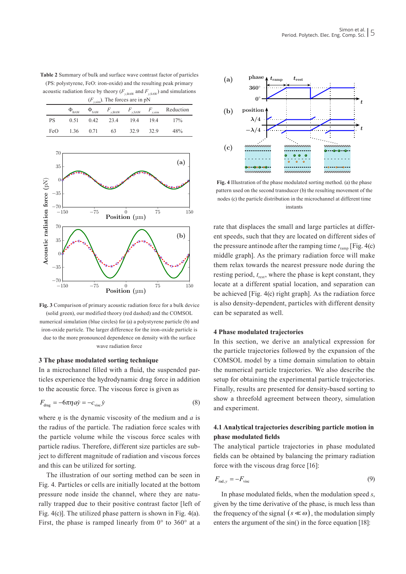**Table 2** Summary of bulk and surface wave contrast factor of particles (PS: polystyrene, FeO: iron-oxide) and the resulting peak primary acoustic radiation force by theory ( $F_{y,BAW}$  and  $F_{y,SAW}$ ) and simulations  $(F)$  The forces are in pN

|           | $\left(\frac{1}{2}v\right)$ and $\frac{1}{2}mv$ and $\frac{1}{2}mv$ and $\frac{1}{2}mv$ |      |      |      |      |                                                                         |
|-----------|-----------------------------------------------------------------------------------------|------|------|------|------|-------------------------------------------------------------------------|
|           |                                                                                         |      |      |      |      | $\Phi_{BAW}$ $\Phi_{SAW}$ $F_{y,BAW}$ $F_{y,SAW}$ $F_{y,sim}$ Reduction |
| <b>PS</b> | 0.51                                                                                    | 0.42 | 23.4 | 19.4 | 194  | $17\%$                                                                  |
| FeO       | 1.36                                                                                    | 0.71 | -63  | 32.9 | 32.9 | 48%                                                                     |



**Fig. 3** Comparison of primary acoustic radiation force for a bulk device (solid green), our modified theory (red dashed) and the COMSOL numerical simulation (blue circles) for (a) a polystyrene particle (b) and iron-oxide particle. The larger difference for the iron-oxide particle is due to the more pronounced dependence on density with the surface wave radiation force

## **3 The phase modulated sorting technique**

In a microchannel filled with a fluid, the suspended particles experience the hydrodynamic drag force in addition to the acoustic force. The viscous force is given as

$$
F_{\text{drag}} = -6\pi\eta a\dot{y} = -c_{\text{visc}}\dot{y} \tag{8}
$$

where  $\eta$  is the dynamic viscosity of the medium and  $\alpha$  is the radius of the particle. The radiation force scales with the particle volume while the viscous force scales with particle radius. Therefore, different size particles are subject to different magnitude of radiation and viscous forces and this can be utilized for sorting.

The illustration of our sorting method can be seen in Fig. 4. Particles or cells are initially located at the bottom pressure node inside the channel, where they are naturally trapped due to their positive contrast factor [left of Fig. 4(c)]. The utilized phase pattern is shown in Fig. 4(a). First, the phase is ramped linearly from  $0^{\circ}$  to  $360^{\circ}$  at a



**Fig. 4** Illustration of the phase modulated sorting method. (a) the phase pattern used on the second transducer (b) the resulting movement of the nodes (c) the particle distribution in the microchannel at different time instants

rate that displaces the small and large particles at different speeds, such that they are located on different sides of the pressure antinode after the ramping time  $t_{\text{ramp}}$  [Fig. 4(c) middle graph]. As the primary radiation force will make them relax towards the nearest pressure node during the resting period,  $t_{\text{rest}}$ , where the phase is kept constant, they locate at a different spatial location, and separation can be achieved [Fig. 4(c) right graph]. As the radiation force is also density-dependent, particles with different density can be separated as well.

## **4 Phase modulated trajectories**

In this section, we derive an analytical expression for the particle trajectories followed by the expansion of the COMSOL model by a time domain simulation to obtain the numerical particle trajectories. We also describe the setup for obtaining the experimental particle trajectories. Finally, results are presented for density-based sorting to show a threefold agreement between theory, simulation and experiment.

## **4.1 Analytical trajectories describing particle motion in phase modulated fields**

The analytical particle trajectories in phase modulated fields can be obtained by balancing the primary radiation force with the viscous drag force [16]:

$$
F_{\text{rad},y} = -F_{\text{visc}}\tag{9}
$$

In phase modulated fields, when the modulation speed *s*, given by the time derivative of the phase, is much less than the frequency of the signal  $(s \ll \omega)$ , the modulation simply enters the argument of the sin() in the force equation [18]: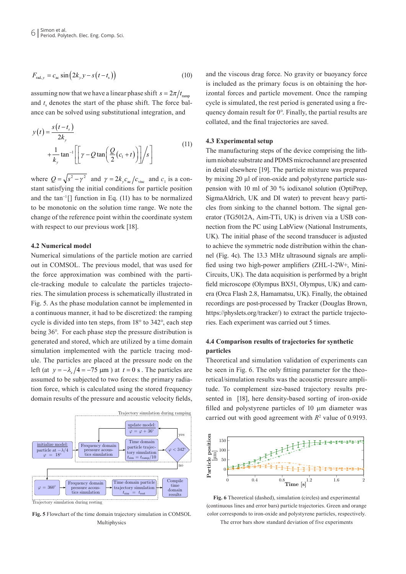$$
F_{\text{rad},y} = c_{\text{ac}} \sin \left( 2k_y y - s \left( t - t_s \right) \right) \tag{10}
$$

assuming now that we have a linear phase shift  $s = 2\pi/t_{\text{ram}}$ and  $t_s$  denotes the start of the phase shift. The force balance can be solved using substitutional integration, and

$$
y(t) = \frac{s(t - t_s)}{2k_y}
$$
  
 
$$
+ \frac{1}{k_y} \tan^{-1} \left[ \left[ \gamma - Q \tan \left( \frac{Q}{2} (c_1 + t) \right) \right] / s \right]
$$
 (11)

where  $Q = \sqrt{s^2 - \gamma^2}$  and  $\gamma = 2k_y c_{\text{ac}}/c_{\text{visc}}$  and  $c_1$  is a constant satisfying the initial conditions for particle position and the tan−1 [] function in Eq. (11) has to be normalized to be monotonic on the solution time range. We note the change of the reference point within the coordinate system with respect to our previous work [18].

### **4.2 Numerical model**

Numerical simulations of the particle motion are carried out in COMSOL. The previous model, that was used for the force approximation was combined with the particle-tracking module to calculate the particles trajectories. The simulation process is schematically illustrated in Fig. 5. As the phase modulation cannot be implemented in a continuous manner, it had to be discretized: the ramping cycle is divided into ten steps, from 18° to 342°, each step being 36°. For each phase step the pressure distribution is generated and stored, which are utilized by a time domain simulation implemented with the particle tracing module. The particles are placed at the pressure node on the left (at  $y = -\lambda$ <sub>s</sub> /4 = −75 µm ) at  $t = 0$  s. The particles are assumed to be subjected to two forces: the primary radiation force, which is calculated using the stored frequency domain results of the pressure and acoustic velocity fields,



Trajectory simulation during resting

**Fig. 5** Flowchart of the time domain trajectory simulation in COMSOL Multiphysics

and the viscous drag force. No gravity or buoyancy force is included as the primary focus is on obtaining the horizontal forces and particle movement. Once the ramping cycle is simulated, the rest period is generated using a frequency domain result for 0°. Finally, the partial results are collated, and the final trajectories are saved.

#### **4.3 Experimental setup**

The manufacturing steps of the device comprising the lithium niobate substrate and PDMS microchannel are presented in detail elsewhere [19]. The particle mixture was prepared by mixing 20 µl of iron-oxide and polystyrene particle suspension with 10 ml of 30 % iodixanol solution (OptiPrep, SigmaAldrich, UK and DI water) to prevent heavy particles from sinking to the channel bottom. The signal generator (TG5012A, Aim-TTi, UK) is driven via a USB connection from the PC using LabView (National Instruments, UK). The initial phase of the second transducer is adjusted to achieve the symmetric node distribution within the channel (Fig. 4c). The 13.3 MHz ultrasound signals are amplified using two high-power amplifiers (ZHL-1-2W+, Mini-Circuits, UK). The data acquisition is performed by a bright field microscope (Olympus BX51, Olympus, UK) and camera (Orca Flash 2.8, Hamamatsu, UK). Finally, the obtained recordings are post-processed by Tracker (Douglas Brown, https://physlets.org/tracker/) to extract the particle trajectories. Each experiment was carried out 5 times.

## **4.4 Comparison results of trajectories for synthetic particles**

Theoretical and simulation validation of experiments can be seen in Fig. 6. The only fitting parameter for the theoretical/simulation results was the acoustic pressure amplitude. To complement size-based trajectory results presented in [18], here density-based sorting of iron-oxide filled and polystyrene particles of 10 μm diameter was carried out with good agreement with  $R<sup>2</sup>$  value of 0.9193.



**Fig. 6** Theoretical (dashed), simulation (circles) and experimental (continuous lines and error bars) particle trajectories. Green and orange color corresponds to iron-oxide and polystyrene particles, respectively.

The error bars show standard deviation of five experiments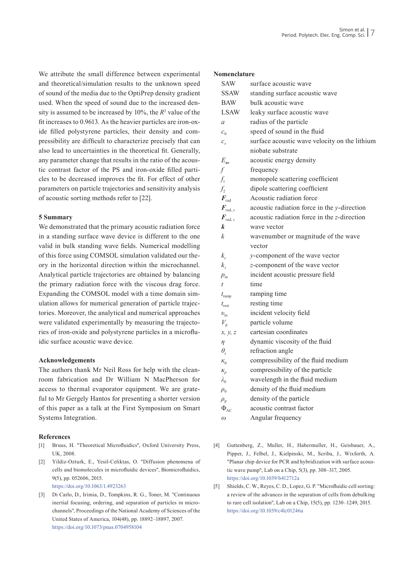We attribute the small difference between experimental and theoretical/simulation results to the unknown speed of sound of the media due to the OptiPrep density gradient used. When the speed of sound due to the increased density is assumed to be increased by  $10\%$ , the  $R^2$  value of the fit increases to 0.9613. As the heavier particles are iron-oxide filled polystyrene particles, their density and compressibility are difficult to characterize precisely that can also lead to uncertainties in the theoretical fit. Generally, any parameter change that results in the ratio of the acoustic contrast factor of the PS and iron-oxide filled particles to be decreased improves the fit. For effect of other parameters on particle trajectories and sensitivity analysis of acoustic sorting methods refer to [22].

## **5 Summary**

We demonstrated that the primary acoustic radiation force in a standing surface wave device is different to the one valid in bulk standing wave fields. Numerical modelling of this force using COMSOL simulation validated our theory in the horizontal direction within the microchannel. Analytical particle trajectories are obtained by balancing the primary radiation force with the viscous drag force. Expanding the COMSOL model with a time domain simulation allows for numerical generation of particle trajectories. Moreover, the analytical and numerical approaches were validated experimentally by measuring the trajectories of iron-oxide and polystyrene particles in a microfluidic surface acoustic wave device.

## **Acknowledgements**

The authors thank Mr Neil Ross for help with the cleanroom fabrication and Dr William N MacPherson for access to thermal evaporator equipment. We are grateful to Mr Gergely Hantos for presenting a shorter version of this paper as a talk at the First Symposium on Smart Systems Integration.

## **References**

- [1] Bruus, H. "Theoretical Microfluidics", Oxford University Press, UK, 2008.
- [2] Yildiz-Ozturk, E., Yesil-Celiktas, O. "Diffusion phenomena of cells and biomolecules in microfluidic devices", Biomicrofluidics, 9(5), pp. 052606, 2015. <https://doi.org/10.1063/1.4923263>
- [3] Di Carlo, D., Irimia, D., Tompkins, R. G., Toner, M. "Continuous inertial focusing, ordering, and separation of particles in microchannels", Proceedings of the National Academy of Sciences of the United States of America, 104(48), pp. 18892–18897, 2007. <https://doi.org/10.1073/pnas.0704958104>

#### **Nomenclature**

| SAW                               | surface acoustic wave                         |
|-----------------------------------|-----------------------------------------------|
| SSAW                              | standing surface acoustic wave                |
| <b>BAW</b>                        | bulk acoustic wave                            |
| LSAW                              | leaky surface acoustic wave                   |
| $\mathfrak a$                     | radius of the particle                        |
| c <sub>0</sub>                    | speed of sound in the fluid                   |
| $c_{s}$                           | surface acoustic wave velocity on the lithium |
|                                   | niobate substrate                             |
| $E_{ac}$                          | acoustic energy density                       |
| $\int$                            | frequency                                     |
| $f_1$                             | monopole scattering coefficient               |
| $f_2$                             | dipole scattering coefficient                 |
| $\boldsymbol{F}_{\mathrm{rad}}$   | Acoustic radiation force                      |
| $\boldsymbol{F}_{\mathrm{rad},y}$ | acoustic radiation force in the y-direction   |
| $\boldsymbol{F}_{\mathrm{rad},z}$ | acoustic radiation force in the z-direction   |
| k                                 | wave vector                                   |
| k                                 | wavenumber or magnitude of the wave           |
|                                   | vector                                        |
| $k_{\rm v}$                       | y-component of the wave vector                |
| $k_z$                             | z-component of the wave vector                |
| $p_{\rm in}$                      | incident acoustic pressure field              |
| t                                 | time                                          |
| $t_{\text{ramp}}$                 | ramping time                                  |
| $t_{\text{rest}}$                 | resting time                                  |
| $v_{\rm in}$                      | incident velocity field                       |
| $V_{\scriptscriptstyle\rm p}$     | particle volume                               |
| x, y, z                           | cartesian coordinates                         |
| η                                 | dynamic viscosity of the fluid                |
| $\theta_{\rm r}$                  | refraction angle                              |
| $K_0$                             | compressibility of the fluid medium           |
| $\kappa_{p}$                      | compressibility of the particle               |
| $\lambda_0$                       | wavelength in the fluid medium                |
| $\rho_{0}$                        | density of the fluid medium                   |
| $\rho_{\text{\tiny p}}$           | density of the particle                       |
| $\Phi_{AC}$                       | acoustic contrast factor                      |
| $\omega$                          | Angular frequency                             |
|                                   |                                               |

- [4] Guttenberg, Z., Muller, H., Habermuller, H., Geisbauer, A., Pipper, J., Felbel, J., Kielpinski, M., Scriba, J., Wixforth, A. "Planar chip device for PCR and hybridization with surface acoustic wave pump", Lab on a Chip, 5(3), pp. 308–317, 2005. <https://doi.org/10.1039/b412712a>
- [5] Shields, C. W., Reyes, C. D., Lopez, G. P. "Microfluidic cell sorting: a review of the advances in the separation of cells from debulking to rare cell isolation", Lab on a Chip, 15(5), pp. 1230–1249, 2015. <https://doi.org/10.1039/c4lc01246a>